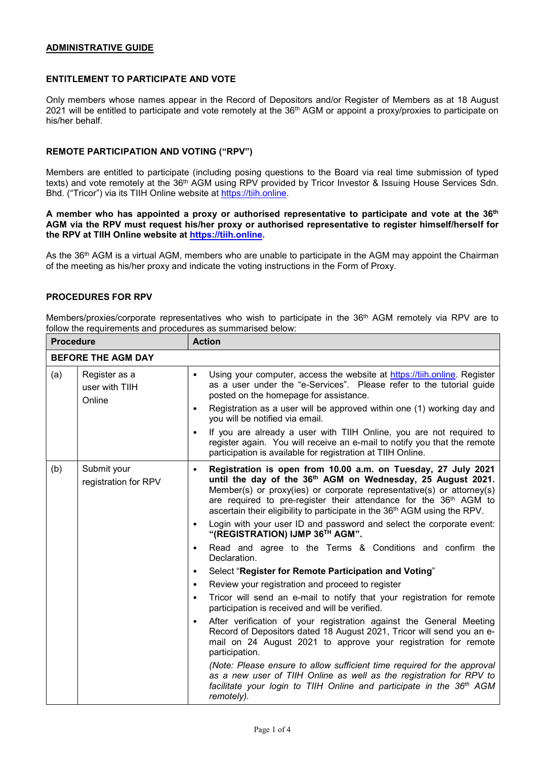## ADMINISTRATIVE GUIDE

# ENTITLEMENT TO PARTICIPATE AND VOTE

Only members whose names appear in the Record of Depositors and/or Register of Members as at 18 August 2021 will be entitled to participate and vote remotely at the 36<sup>th</sup> AGM or appoint a proxy/proxies to participate on his/her behalf.

# REMOTE PARTICIPATION AND VOTING ("RPV")

Members are entitled to participate (including posing questions to the Board via real time submission of typed texts) and vote remotely at the 36<sup>th</sup> AGM using RPV provided by Tricor Investor & Issuing House Services Sdn. Bhd. ("Tricor") via its TIIH Online website at https://tiih.online.

## A member who has appointed a proxy or authorised representative to participate and vote at the 36<sup>th</sup> AGM via the RPV must request his/her proxy or authorised representative to register himself/herself for the RPV at TIIH Online website at https://tiih.online.

As the 36<sup>th</sup> AGM is a virtual AGM, members who are unable to participate in the AGM may appoint the Chairman of the meeting as his/her proxy and indicate the voting instructions in the Form of Proxy.

## PROCEDURES FOR RPV

Members/proxies/corporate representatives who wish to participate in the 36<sup>th</sup> AGM remotely via RPV are to follow the requirements and procedures as summarised below:

| <b>Procedure</b>          |                                           |                        | <b>Action</b>                                                                                                                                                                                                                                                                                                                                                                               |  |  |
|---------------------------|-------------------------------------------|------------------------|---------------------------------------------------------------------------------------------------------------------------------------------------------------------------------------------------------------------------------------------------------------------------------------------------------------------------------------------------------------------------------------------|--|--|
| <b>BEFORE THE AGM DAY</b> |                                           |                        |                                                                                                                                                                                                                                                                                                                                                                                             |  |  |
| (a)                       | Register as a<br>user with TIIH<br>Online | $\bullet$<br>$\bullet$ | Using your computer, access the website at https://tiih.online. Register<br>as a user under the "e-Services". Please refer to the tutorial guide<br>posted on the homepage for assistance.<br>Registration as a user will be approved within one (1) working day and                                                                                                                        |  |  |
|                           |                                           | $\bullet$              | you will be notified via email.<br>If you are already a user with TIIH Online, you are not required to<br>register again. You will receive an e-mail to notify you that the remote<br>participation is available for registration at TIIH Online.                                                                                                                                           |  |  |
| (b)                       | Submit your<br>registration for RPV       | $\bullet$              | Registration is open from 10.00 a.m. on Tuesday, 27 July 2021<br>until the day of the 36 <sup>th</sup> AGM on Wednesday, 25 August 2021.<br>Member(s) or proxy(ies) or corporate representative(s) or attorney(s)<br>are required to pre-register their attendance for the 36 <sup>th</sup> AGM to<br>ascertain their eligibility to participate in the 36 <sup>th</sup> AGM using the RPV. |  |  |
|                           |                                           | $\bullet$              | Login with your user ID and password and select the corporate event:<br>"(REGISTRATION) IJMP 36TH AGM".                                                                                                                                                                                                                                                                                     |  |  |
|                           |                                           | $\bullet$              | Read and agree to the Terms & Conditions and confirm the<br>Declaration.                                                                                                                                                                                                                                                                                                                    |  |  |
|                           |                                           | $\bullet$              | Select "Register for Remote Participation and Voting"                                                                                                                                                                                                                                                                                                                                       |  |  |
|                           |                                           | $\bullet$              | Review your registration and proceed to register                                                                                                                                                                                                                                                                                                                                            |  |  |
|                           |                                           | $\bullet$              | Tricor will send an e-mail to notify that your registration for remote<br>participation is received and will be verified.                                                                                                                                                                                                                                                                   |  |  |
|                           |                                           | $\bullet$              | After verification of your registration against the General Meeting<br>Record of Depositors dated 18 August 2021, Tricor will send you an e-<br>mail on 24 August 2021 to approve your registration for remote<br>participation.                                                                                                                                                            |  |  |
|                           |                                           |                        | (Note: Please ensure to allow sufficient time required for the approval<br>as a new user of TIIH Online as well as the registration for RPV to<br>facilitate your login to TIIH Online and participate in the 36 <sup>th</sup> AGM<br>remotely).                                                                                                                                            |  |  |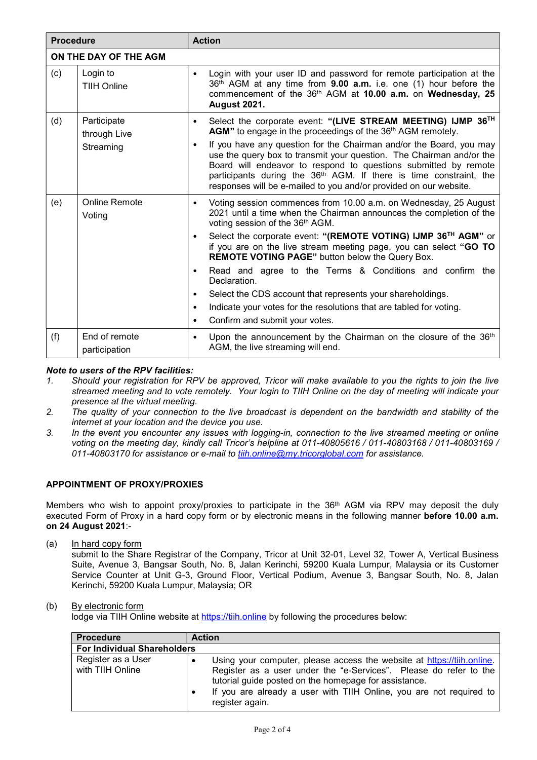| <b>Procedure</b>                                                          |                                | <b>Action</b>                                                                                                                                                                                                                                                                                                                                                         |  |  |  |  |
|---------------------------------------------------------------------------|--------------------------------|-----------------------------------------------------------------------------------------------------------------------------------------------------------------------------------------------------------------------------------------------------------------------------------------------------------------------------------------------------------------------|--|--|--|--|
|                                                                           | ON THE DAY OF THE AGM          |                                                                                                                                                                                                                                                                                                                                                                       |  |  |  |  |
| (c)                                                                       | Login to<br><b>TIIH Online</b> | Login with your user ID and password for remote participation at the<br>36th AGM at any time from 9.00 a.m. i.e. one (1) hour before the<br>commencement of the 36th AGM at 10.00 a.m. on Wednesday, 25<br><b>August 2021.</b>                                                                                                                                        |  |  |  |  |
| Participate<br>(d)<br>$\bullet$<br>through Live<br>$\bullet$<br>Streaming |                                | Select the corporate event: "(LIVE STREAM MEETING) IJMP 36TH<br>AGM" to engage in the proceedings of the 36 <sup>th</sup> AGM remotely.                                                                                                                                                                                                                               |  |  |  |  |
|                                                                           |                                | If you have any question for the Chairman and/or the Board, you may<br>use the query box to transmit your question. The Chairman and/or the<br>Board will endeavor to respond to questions submitted by remote<br>participants during the 36 <sup>th</sup> AGM. If there is time constraint, the<br>responses will be e-mailed to you and/or provided on our website. |  |  |  |  |
| (e)                                                                       | <b>Online Remote</b><br>Voting | Voting session commences from 10.00 a.m. on Wednesday, 25 August<br>$\bullet$<br>2021 until a time when the Chairman announces the completion of the<br>voting session of the 36 <sup>th</sup> AGM.                                                                                                                                                                   |  |  |  |  |
|                                                                           |                                | Select the corporate event: "(REMOTE VOTING) IJMP 36 <sup>TH</sup> AGM" or<br>$\bullet$<br>if you are on the live stream meeting page, you can select "GO TO<br>REMOTE VOTING PAGE" button below the Query Box.                                                                                                                                                       |  |  |  |  |
|                                                                           |                                | Read and agree to the Terms & Conditions and confirm the<br>$\bullet$<br>Declaration.                                                                                                                                                                                                                                                                                 |  |  |  |  |
|                                                                           |                                | Select the CDS account that represents your shareholdings.<br>$\bullet$                                                                                                                                                                                                                                                                                               |  |  |  |  |
|                                                                           |                                | Indicate your votes for the resolutions that are tabled for voting.<br>$\bullet$                                                                                                                                                                                                                                                                                      |  |  |  |  |
|                                                                           |                                | Confirm and submit your votes.<br>$\bullet$                                                                                                                                                                                                                                                                                                                           |  |  |  |  |
| (f)                                                                       | End of remote<br>participation | Upon the announcement by the Chairman on the closure of the 36 <sup>th</sup><br>$\bullet$<br>AGM, the live streaming will end.                                                                                                                                                                                                                                        |  |  |  |  |

# Note to users of the RPV facilities:

- 1. Should your registration for RPV be approved, Tricor will make available to you the rights to join the live streamed meeting and to vote remotely. Your login to TIIH Online on the day of meeting will indicate your presence at the virtual meeting.
- 2. The quality of your connection to the live broadcast is dependent on the bandwidth and stability of the internet at your location and the device you use.
- 3. In the event you encounter any issues with logging-in, connection to the live streamed meeting or online voting on the meeting day, kindly call Tricor's helpline at 011-40805616 / 011-40803168 / 011-40803169 / 011-40803170 for assistance or e-mail to tiih.online@my.tricorglobal.com for assistance.

# APPOINTMENT OF PROXY/PROXIES

Members who wish to appoint proxy/proxies to participate in the 36<sup>th</sup> AGM via RPV may deposit the duly executed Form of Proxy in a hard copy form or by electronic means in the following manner **before 10.00 a.m.** on 24 August 2021:-

(a) In hard copy form

submit to the Share Registrar of the Company, Tricor at Unit 32-01, Level 32, Tower A, Vertical Business Suite, Avenue 3, Bangsar South, No. 8, Jalan Kerinchi, 59200 Kuala Lumpur, Malaysia or its Customer Service Counter at Unit G-3, Ground Floor, Vertical Podium, Avenue 3, Bangsar South, No. 8, Jalan Kerinchi, 59200 Kuala Lumpur, Malaysia; OR

#### (b) By electronic form

lodge via TIIH Online website at https://tiih.online by following the procedures below:

| <b>Procedure</b>                       | <b>Action</b>                                                                                                                                                                                                                                                                                  |  |  |  |  |  |
|----------------------------------------|------------------------------------------------------------------------------------------------------------------------------------------------------------------------------------------------------------------------------------------------------------------------------------------------|--|--|--|--|--|
| <b>For Individual Shareholders</b>     |                                                                                                                                                                                                                                                                                                |  |  |  |  |  |
| Register as a User<br>with TIIH Online | Using your computer, please access the website at https://tiih.online.<br>Register as a user under the "e-Services". Please do refer to the<br>tutorial guide posted on the homepage for assistance.<br>If you are already a user with TIIH Online, you are not required to<br>register again. |  |  |  |  |  |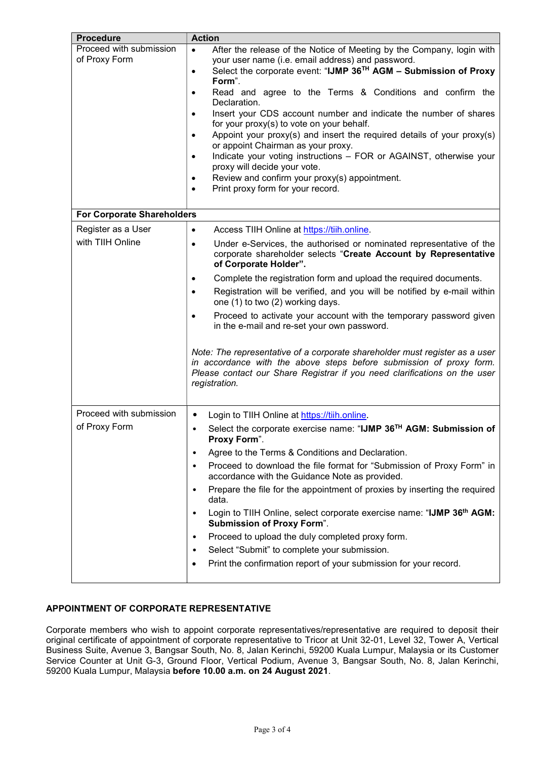| <b>Procedure</b>                  | <b>Action</b>                                                                                                                                                                                                                                    |  |  |  |  |
|-----------------------------------|--------------------------------------------------------------------------------------------------------------------------------------------------------------------------------------------------------------------------------------------------|--|--|--|--|
| Proceed with submission           | After the release of the Notice of Meeting by the Company, login with<br>$\bullet$                                                                                                                                                               |  |  |  |  |
| of Proxy Form                     | your user name (i.e. email address) and password.                                                                                                                                                                                                |  |  |  |  |
|                                   | Select the corporate event: "IJMP 36 <sup>TH</sup> AGM - Submission of Proxy<br>$\bullet$                                                                                                                                                        |  |  |  |  |
|                                   | Form".                                                                                                                                                                                                                                           |  |  |  |  |
|                                   | Read and agree to the Terms & Conditions and confirm the<br>$\bullet$<br>Declaration.                                                                                                                                                            |  |  |  |  |
|                                   | Insert your CDS account number and indicate the number of shares<br>$\bullet$                                                                                                                                                                    |  |  |  |  |
|                                   | for your proxy(s) to vote on your behalf.                                                                                                                                                                                                        |  |  |  |  |
|                                   | Appoint your proxy(s) and insert the required details of your proxy(s)<br>$\bullet$                                                                                                                                                              |  |  |  |  |
|                                   | or appoint Chairman as your proxy.                                                                                                                                                                                                               |  |  |  |  |
|                                   | Indicate your voting instructions - FOR or AGAINST, otherwise your                                                                                                                                                                               |  |  |  |  |
|                                   | proxy will decide your vote.                                                                                                                                                                                                                     |  |  |  |  |
|                                   | Review and confirm your proxy(s) appointment.<br>$\bullet$                                                                                                                                                                                       |  |  |  |  |
|                                   | Print proxy form for your record.                                                                                                                                                                                                                |  |  |  |  |
|                                   |                                                                                                                                                                                                                                                  |  |  |  |  |
| <b>For Corporate Shareholders</b> |                                                                                                                                                                                                                                                  |  |  |  |  |
| Register as a User                | Access TIIH Online at https://tiih.online.<br>$\bullet$                                                                                                                                                                                          |  |  |  |  |
| with TIIH Online                  | Under e-Services, the authorised or nominated representative of the<br>$\bullet$                                                                                                                                                                 |  |  |  |  |
|                                   | corporate shareholder selects "Create Account by Representative<br>of Corporate Holder".                                                                                                                                                         |  |  |  |  |
|                                   |                                                                                                                                                                                                                                                  |  |  |  |  |
|                                   | Complete the registration form and upload the required documents.<br>٠                                                                                                                                                                           |  |  |  |  |
|                                   | Registration will be verified, and you will be notified by e-mail within<br>$\bullet$<br>one (1) to two (2) working days.                                                                                                                        |  |  |  |  |
|                                   | Proceed to activate your account with the temporary password given<br>$\bullet$                                                                                                                                                                  |  |  |  |  |
|                                   | in the e-mail and re-set your own password.                                                                                                                                                                                                      |  |  |  |  |
|                                   | Note: The representative of a corporate shareholder must register as a user<br>in accordance with the above steps before submission of proxy form.<br>Please contact our Share Registrar if you need clarifications on the user<br>registration. |  |  |  |  |
| Proceed with submission           | Login to TIIH Online at https://tiih.online.                                                                                                                                                                                                     |  |  |  |  |
| of Proxy Form                     | Select the corporate exercise name: "IJMP 36™ AGM: Submission of                                                                                                                                                                                 |  |  |  |  |
|                                   | Proxy Form".                                                                                                                                                                                                                                     |  |  |  |  |
|                                   | Agree to the Terms & Conditions and Declaration.<br>٠                                                                                                                                                                                            |  |  |  |  |
|                                   | Proceed to download the file format for "Submission of Proxy Form" in<br>accordance with the Guidance Note as provided.                                                                                                                          |  |  |  |  |
|                                   | Prepare the file for the appointment of proxies by inserting the required<br>٠<br>data.                                                                                                                                                          |  |  |  |  |
|                                   | Login to TIIH Online, select corporate exercise name: "IJMP 36th AGM:<br>٠<br><b>Submission of Proxy Form".</b>                                                                                                                                  |  |  |  |  |
|                                   | Proceed to upload the duly completed proxy form.<br>٠                                                                                                                                                                                            |  |  |  |  |
|                                   | Select "Submit" to complete your submission.<br>٠                                                                                                                                                                                                |  |  |  |  |
|                                   | Print the confirmation report of your submission for your record.                                                                                                                                                                                |  |  |  |  |
|                                   |                                                                                                                                                                                                                                                  |  |  |  |  |

# APPOINTMENT OF CORPORATE REPRESENTATIVE

Corporate members who wish to appoint corporate representatives/representative are required to deposit their original certificate of appointment of corporate representative to Tricor at Unit 32-01, Level 32, Tower A, Vertical Business Suite, Avenue 3, Bangsar South, No. 8, Jalan Kerinchi, 59200 Kuala Lumpur, Malaysia or its Customer Service Counter at Unit G-3, Ground Floor, Vertical Podium, Avenue 3, Bangsar South, No. 8, Jalan Kerinchi, 59200 Kuala Lumpur, Malaysia before 10.00 a.m. on 24 August 2021.